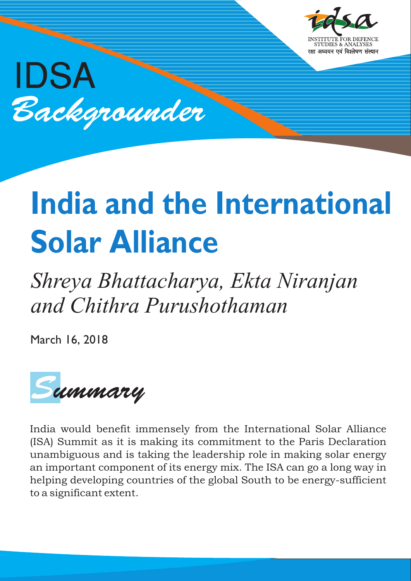IDSA Backgrounder

# **India and the International Solar Alliance**

# *Shreya Bhattacharya, Ekta Niranjan and Chithra Purushothaman*

March 16, 2018



India would benefit immensely from the International Solar Alliance (ISA) Summit as it is making its commitment to the Paris Declaration unambiguous and is taking the leadership role in making solar energy an important component of its energy mix. The ISA can go a long way in helping developing countries of the global South to be energy-sufficient to a significant extent.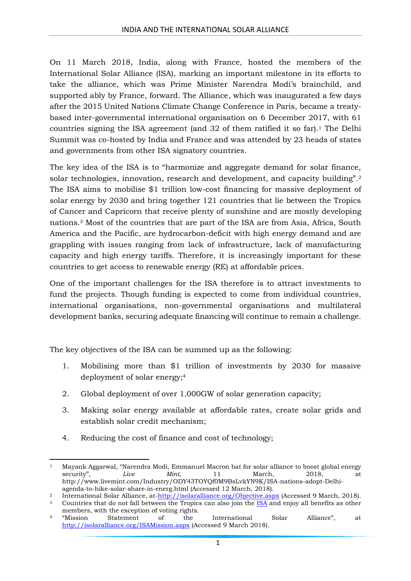On 11 March 2018, India, along with France, hosted the members of the International Solar Alliance (ISA), marking an important milestone in its efforts to take the alliance, which was Prime Minister Narendra Modi's brainchild, and supported ably by France, forward. The Alliance, which was inaugurated a few days after the 2015 United Nations Climate Change Conference in Paris, became a treatybased inter-governmental international organisation on 6 December 2017, with 61 countries signing the ISA agreement (and 32 of them ratified it so far). <sup>1</sup> The Delhi Summit was co-hosted by India and France and was attended by 23 heads of states and governments from other ISA signatory countries.

The key idea of the ISA is to "harmonize and aggregate demand for solar finance, solar technologies, innovation, research and development, and capacity building".<sup>2</sup> The ISA aims to mobilise \$1 trillion low-cost financing for massive deployment of solar energy by 2030 and bring together 121 countries that lie between the Tropics of Cancer and Capricorn that receive plenty of sunshine and are mostly developing nations.<sup>3</sup> Most of the countries that are part of the ISA are from Asia, Africa, South America and the Pacific, are hydrocarbon-deficit with high energy demand and are grappling with issues ranging from lack of infrastructure, lack of manufacturing capacity and high energy tariffs. Therefore, it is increasingly important for these countries to get access to renewable energy (RE) at affordable prices.

One of the important challenges for the ISA therefore is to attract investments to fund the projects. Though funding is expected to come from individual countries, international organisations, non-governmental organisations and multilateral development banks, securing adequate financing will continue to remain a challenge.

The key objectives of the ISA can be summed up as the following:

- 1. Mobilising more than \$1 trillion of investments by 2030 for massive deployment of solar energy;<sup>4</sup>
- 2. Global deployment of over 1,000GW of solar generation capacity;
- 3. Making solar energy available at affordable rates, create solar grids and establish solar credit mechanism;
- 4. Reducing the cost of finance and cost of technology;

**<sup>.</sup>** <sup>1</sup> Mayank Aggarwal, "Narendra Modi, Emmanuel Macron bat for solar alliance to boost global energy security", *Live Mint*, 11 March, 2018, at http://www.livemint.com/Industry/ODY43TOYQf0M9BsLvkYN9K/ISA-nations-adopt-Delhiagenda-to-hike-solar-share-in-energ.html (Accessed 12 March, 2018).

<sup>2</sup> International Solar Alliance, at[-http://isolaralliance.org/Objective.aspx](http://isolaralliance.org/Objective.aspx) (Accessed 9 March, 2018).

<sup>3</sup> Countries that do not fall between the Tropics can also join the [ISA](http://isolaralliance.org/Press.aspx) and enjoy all benefits as other members, with the exception of voting rights.

<sup>4</sup> "Mission Statement of the International Solar Alliance", at <http://isolaralliance.org/ISAMission.aspx> (Accessed 9 March 2018).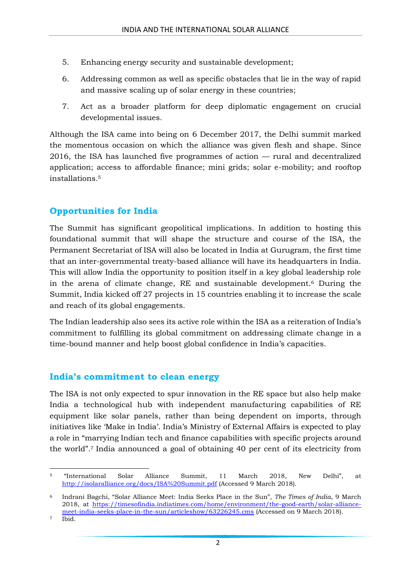- 5. Enhancing energy security and sustainable development;
- 6. Addressing common as well as specific obstacles that lie in the way of rapid and massive scaling up of solar energy in these countries;
- 7. Act as a broader platform for deep diplomatic engagement on crucial developmental issues.

Although the ISA came into being on 6 December 2017, the Delhi summit marked the momentous occasion on which the alliance was given flesh and shape. Since 2016, the ISA has launched five programmes of action — rural and decentralized application; access to affordable finance; mini grids; solar e-mobility; and rooftop installations.<sup>5</sup>

### **Opportunities for India**

The Summit has significant geopolitical implications. In addition to hosting this foundational summit that will shape the structure and course of the ISA, the Permanent Secretariat of ISA will also be located in India at Gurugram, the first time that an inter-governmental treaty-based alliance will have its headquarters in India. This will allow India the opportunity to position itself in a key global leadership role in the arena of climate change, RE and sustainable development.<sup>6</sup> During the Summit, India kicked off 27 projects in 15 countries enabling it to increase the scale and reach of its global engagements.

The Indian leadership also sees its active role within the ISA as a reiteration of India's commitment to fulfilling its global commitment on addressing climate change in a time-bound manner and help boost global confidence in India's capacities.

#### **India's commitment to clean energy**

The ISA is not only expected to spur innovation in the RE space but also help make India a technological hub with independent manufacturing capabilities of RE equipment like solar panels, rather than being dependent on imports, through initiatives like 'Make in India'. India's Ministry of External Affairs is expected to play a role in "marrying Indian tech and finance capabilities with specific projects around the world".<sup>7</sup> India announced a goal of obtaining 40 per cent of its electricity from

 $\overline{\phantom{a}}$ <sup>5</sup> "International Solar Alliance Summit, 11 March 2018, New Delhi", at <http://isolaralliance.org/docs/ISA%20Summit.pdf> (Accessed 9 March 2018).

<sup>6</sup> Indrani Bagchi, "Solar Alliance Meet: India Seeks Place in the Sun", *The Times of India*, 9 March 2018, at [https://timesofindia.indiatimes.com/home/environment/the-good-earth/solar-alliance](https://timesofindia.indiatimes.com/home/environment/the-good-earth/solar-alliance-meet-india-seeks-place-in-the-sun/articleshow/63226245.cms)[meet-india-seeks-place-in-the-sun/articleshow/63226245.cms](https://timesofindia.indiatimes.com/home/environment/the-good-earth/solar-alliance-meet-india-seeks-place-in-the-sun/articleshow/63226245.cms) (Accessed on 9 March 2018).

<sup>7</sup> Ibid.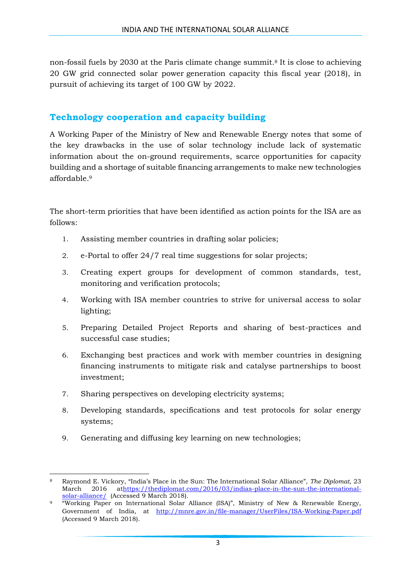non-fossil fuels by 2030 at the Paris climate change summit.<sup>8</sup> It is close to achieving 20 GW grid connected solar power generation capacity this fiscal year (2018), in pursuit of achieving its target of 100 GW by 2022.

#### **Technology cooperation and capacity building**

A Working Paper of the Ministry of New and Renewable Energy notes that some of the key drawbacks in the use of solar technology include lack of systematic information about the on-ground requirements, scarce opportunities for capacity building and a shortage of suitable financing arrangements to make new technologies affordable. 9

The short-term priorities that have been identified as action points for the ISA are as follows:

- 1. Assisting member countries in drafting solar policies;
- 2. e-Portal to offer 24/7 real time suggestions for solar projects;
- 3. Creating expert groups for development of common standards, test, monitoring and verification protocols;
- 4. Working with ISA member countries to strive for universal access to solar lighting;
- 5. Preparing Detailed Project Reports and sharing of best-practices and successful case studies;
- 6. Exchanging best practices and work with member countries in designing financing instruments to mitigate risk and catalyse partnerships to boost investment;
- 7. Sharing perspectives on developing electricity systems;
- 8. Developing standards, specifications and test protocols for solar energy systems;
- 9. Generating and diffusing key learning on new technologies;

**.** 

<sup>8</sup> Raymond E. Vickory, "India's Place in the Sun: The International Solar Alliance", *The Diplomat*, 23 March 2016 a[thttps://thediplomat.com/2016/03/indias-place-in-the-sun-the-international](https://thediplomat.com/2016/03/indias-place-in-the-sun-the-international-solar-alliance/)[solar-alliance/](https://thediplomat.com/2016/03/indias-place-in-the-sun-the-international-solar-alliance/) (Accessed 9 March 2018).

<sup>&</sup>quot;Working Paper on International Solar Alliance (ISA)", Ministry of New & Renewable Energy, Government of India, at <http://mnre.gov.in/file-manager/UserFiles/ISA-Working-Paper.pdf> (Accessed 9 March 2018).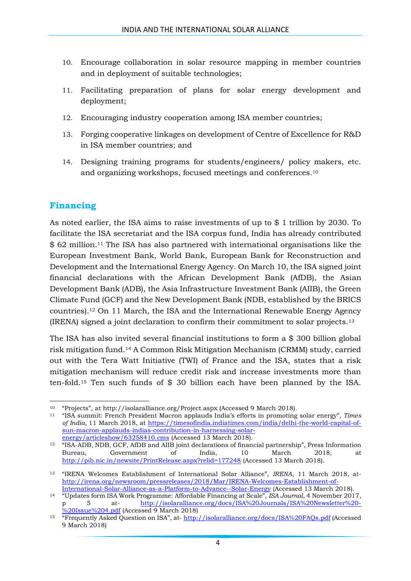- 10. Encourage collaboration in solar resource mapping in member countries and in deployment of suitable technologies;
- 11. Facilitating preparation of plans for solar energy development and deployment;
- 12. Encouraging industry cooperation among ISA member countries;
- 13. Forging cooperative linkages on development of Centre of Excellence for R&D in ISA member countries; and
- 14. Designing training programs for students/engineers/ policy makers, etc. and organizing workshops, focused meetings and conferences.<sup>10</sup>

## **Financing**

As noted earlier, the ISA aims to raise investments of up to \$ 1 trillion by 2030. To facilitate the ISA secretariat and the ISA corpus fund, India has already contributed \$ 62 million.<sup>11</sup> The ISA has also partnered with international organisations like the European Investment Bank, World Bank, European Bank for Reconstruction and Development and the International Energy Agency. On March 10, the ISA signed joint financial declarations with the African Development Bank (AfDB), the Asian Development Bank (ADB), the Asia Infrastructure Investment Bank (AIIB), the Green Climate Fund (GCF) and the New Development Bank (NDB, established by the BRICS countries).<sup>12</sup> On 11 March, the ISA and the International Renewable Energy Agency (IRENA) signed a joint declaration to confirm their commitment to solar projects.<sup>13</sup>

The ISA has also invited several financial institutions to form a \$ 300 billion global risk mitigation fund.<sup>14</sup> A Common Risk Mitigation Mechanism (CRMM) study, carried out with the Tera Watt Initiative (TWI) of France and the ISA, states that a risk mitigation mechanism will reduce credit risk and increase investments more than ten-fold.<sup>15</sup> Ten such funds of \$ 30 billion each have been planned by the ISA.

<sup>1</sup> <sup>10</sup> "Projects", at http://isolaralliance.org/Project.aspx (Accessed 9 March 2018).

<sup>11</sup> "ISA summit: French President Macron applauds India's efforts in promoting solar energy", *Times of India,* 11 March 2018, at [https://timesofindia.indiatimes.com/india/delhi-the-world-capital-of](https://timesofindia.indiatimes.com/india/delhi-the-world-capital-of-sun-macron-applauds-indias-contribution-in-harnessing-solar-energy/articleshow/63258410.cms)[sun-macron-applauds-indias-contribution-in-harnessing-solar](https://timesofindia.indiatimes.com/india/delhi-the-world-capital-of-sun-macron-applauds-indias-contribution-in-harnessing-solar-energy/articleshow/63258410.cms)[energy/articleshow/63258410.cms](https://timesofindia.indiatimes.com/india/delhi-the-world-capital-of-sun-macron-applauds-indias-contribution-in-harnessing-solar-energy/articleshow/63258410.cms) (Accessed 13 March 2018).

<sup>12</sup> "ISA-ADB, NDB, GCF, AfDB and AIIB joint declarations of financial partnership", Press Information Bureau, Government of India, 10 March 2018, at <http://pib.nic.in/newsite/PrintRelease.aspx?relid=177248> (Accessed 13 March 2018).

<sup>13</sup> "IRENA Welcomes Establishment of International Solar Alliance", *IRENA*, 11 March 2018, at[http://irena.org/newsroom/pressreleases/2018/Mar/IRENA-Welcomes-Establishment-of-](http://irena.org/newsroom/pressreleases/2018/Mar/IRENA-Welcomes-Establishment-of-International-Solar-Alliance-as-a-Platform-to-Advance--Solar-Energy)[International-Solar-Alliance-as-a-Platform-to-Advance--Solar-Energy](http://irena.org/newsroom/pressreleases/2018/Mar/IRENA-Welcomes-Establishment-of-International-Solar-Alliance-as-a-Platform-to-Advance--Solar-Energy) (Accessed 13 March 2018).

<sup>14</sup> "Updates form ISA Work Programme: Affordable Financing at Scale", *ISA Journal*, 4 November 2017, p 5 at- [http://isolaralliance.org/docs/ISA%20Journals/ISA%20Newsletter%20-](http://isolaralliance.org/docs/ISA%20Journals/ISA%20Newsletter%20-%20Issue%204.pdf) <u>.</u><br>%20Issue%<u>204.pdf</u> (Accessed 9 March 2018)

<sup>&</sup>lt;sup>15</sup> "Frequently Asked Question on ISA", at-<http://isolaralliance.org/docs/ISA%20FAQs.pdf> (Accessed 9 March 2018)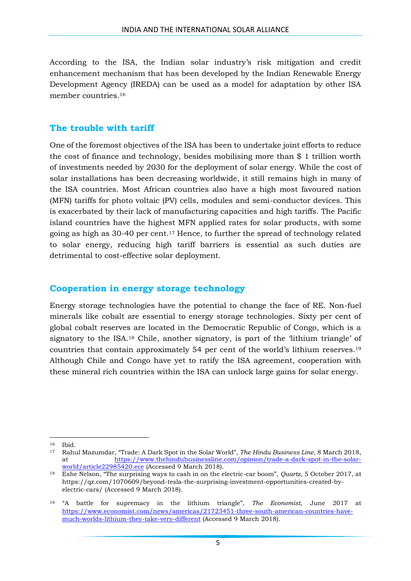According to the ISA, the Indian solar industry's risk mitigation and credit enhancement mechanism that has been developed by the Indian Renewable Energy Development Agency (IREDA) can be used as a model for adaptation by other ISA member countries.<sup>16</sup>

#### **The trouble with tariff**

One of the foremost objectives of the ISA has been to undertake joint efforts to reduce the cost of finance and technology, besides mobilising more than \$ 1 trillion worth of investments needed by 2030 for the deployment of solar energy. While the cost of solar installations has been decreasing worldwide, it still remains high in many of the ISA countries. Most African countries also have a high most favoured nation (MFN) tariffs for photo voltaic (PV) cells, modules and semi-conductor devices. This is exacerbated by their lack of manufacturing capacities and high tariffs. The Pacific island countries have the highest MFN applied rates for solar products, with some going as high as 30-40 per cent.<sup>17</sup> Hence, to further the spread of technology related to solar energy, reducing high tariff barriers is essential as such duties are detrimental to cost-effective solar deployment.

#### **Cooperation in energy storage technology**

Energy storage technologies have the potential to change the face of RE. Non-fuel minerals like cobalt are essential to energy storage technologies. Sixty per cent of global cobalt reserves are located in the Democratic Republic of Congo, which is a signatory to the ISA.<sup>18</sup> Chile, another signatory, is part of the 'lithium triangle' of countries that contain approximately 54 per cent of the world's lithium reserves.<sup>19</sup> Although Chile and Congo have yet to ratify the ISA agreement, cooperation with these mineral rich countries within the ISA can unlock large gains for solar energy.

**<sup>.</sup>** <sup>16</sup> Ibid.

<sup>17</sup> Rahul Mazumdar, "Trade: A Dark Spot in the Solar World", *The Hindu Business Line*, 8 March 2018, at [https://www.thehindubusinessline.com/opinion/trade-a-dark-spot-in-the-solar](https://www.thehindubusinessline.com/opinion/trade-a-dark-spot-in-the-solar-world/article22985420.ece)[world/article22985420.ece](https://www.thehindubusinessline.com/opinion/trade-a-dark-spot-in-the-solar-world/article22985420.ece) (Accessed 9 March 2018).

<sup>18</sup> Eshe Nelson, "The surprising ways to cash in on the electric-car boom", *Quartz*, 5 October 2017, at https://qz.com/1070609/beyond-tesla-the-surprising-investment-opportunities-created-byelectric-cars/ (Accessed 9 March 2018).

<sup>19</sup> "A battle for supremacy in the lithium triangle", *The Economist*, June 2017 at [https://www.economist.com/news/americas/21723451-three-south-american-countries-have](https://www.economist.com/news/americas/21723451-three-south-american-countries-have-much-worlds-lithium-they-take-very-different)[much-worlds-lithium-they-take-very-different](https://www.economist.com/news/americas/21723451-three-south-american-countries-have-much-worlds-lithium-they-take-very-different) (Accessed 9 March 2018).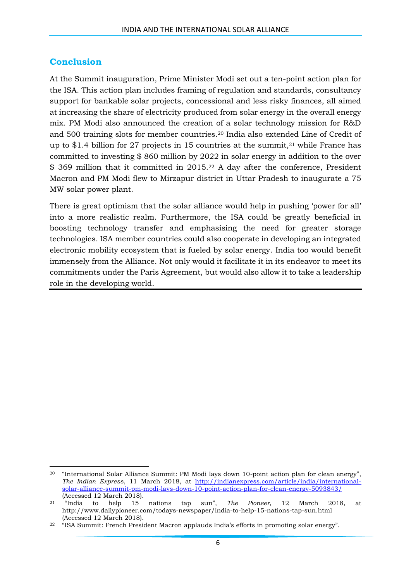#### **Conclusion**

At the Summit inauguration, Prime Minister Modi set out a ten-point action plan for the ISA. This action plan includes framing of regulation and standards, consultancy support for bankable solar projects, concessional and less risky finances, all aimed at increasing the share of electricity produced from solar energy in the overall energy mix. PM Modi also announced the creation of a solar technology mission for R&D and 500 training slots for member countries.<sup>20</sup> India also extended Line of Credit of up to \$1.4 billion for 27 projects in 15 countries at the summit, $21$  while France has committed to investing \$ 860 million by 2022 in solar energy in addition to the over \$ 369 million that it committed in 2015.<sup>22</sup> A day after the conference, President Macron and PM Modi flew to Mirzapur district in Uttar Pradesh to inaugurate a 75 MW solar power plant.

There is great optimism that the solar alliance would help in pushing 'power for all' into a more realistic realm. Furthermore, the ISA could be greatly beneficial in boosting technology transfer and emphasising the need for greater storage technologies. ISA member countries could also cooperate in developing an integrated electronic mobility ecosystem that is fueled by solar energy. India too would benefit immensely from the Alliance. Not only would it facilitate it in its endeavor to meet its commitments under the Paris Agreement, but would also allow it to take a leadership role in the developing world.

**<sup>.</sup>** <sup>20</sup> "International Solar Alliance Summit: PM Modi lays down 10-point action plan for clean energy", *The Indian Express*, 11 March 2018, at [http://indianexpress.com/article/india/international](http://indianexpress.com/article/india/international-solar-alliance-summit-pm-modi-lays-down-10-point-action-plan-for-clean-energy-5093843/)[solar-alliance-summit-pm-modi-lays-down-10-point-action-plan-for-clean-energy-5093843/](http://indianexpress.com/article/india/international-solar-alliance-summit-pm-modi-lays-down-10-point-action-plan-for-clean-energy-5093843/)

<sup>(</sup>Accessed 12 March 2018).<br>"India to help 15 <sup>21</sup> "India to help 15 nations tap sun", *The Pioneer*, 12 March 2018, at http://www.dailypioneer.com/todays-newspaper/india-to-help-15-nations-tap-sun.html (Accessed 12 March 2018).

<sup>22</sup> "ISA Summit: French President Macron applauds India's efforts in promoting solar energy".